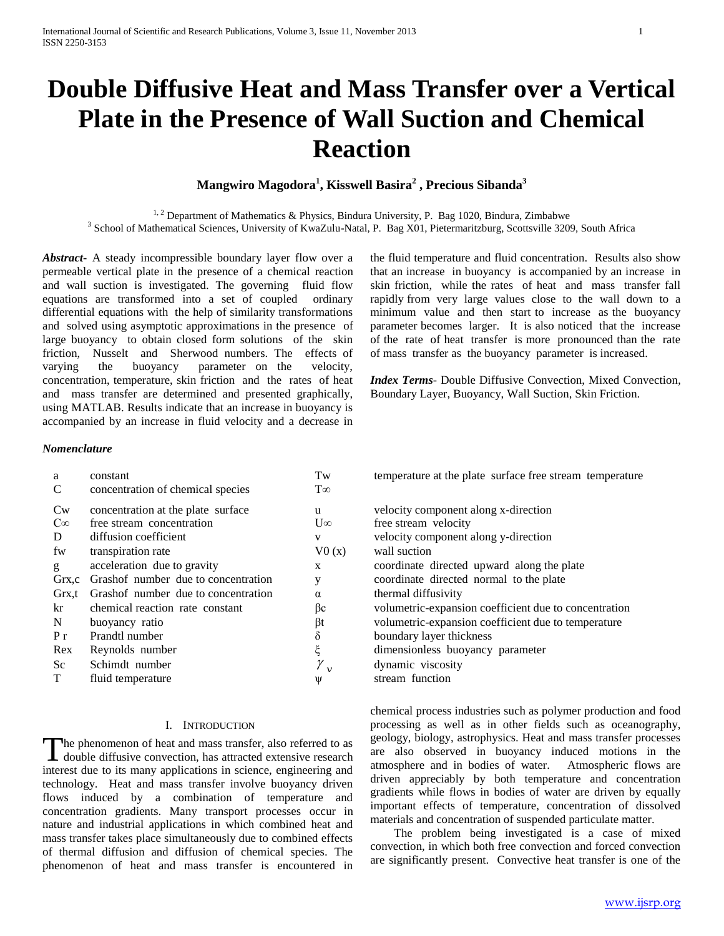# **Double Diffusive Heat and Mass Transfer over a Vertical Plate in the Presence of Wall Suction and Chemical Reaction**

## **Mangwiro Magodora<sup>1</sup> , Kisswell Basira<sup>2</sup> , Precious Sibanda<sup>3</sup>**

<sup>1, 2</sup> Department of Mathematics & Physics, Bindura University, P. Bag 1020, Bindura, Zimbabwe <sup>3</sup> School of Mathematical Sciences, University of KwaZulu-Natal, P. Bag X01, Pietermaritzburg, Scottsville 3209, South Africa

*Abstract***-** A steady incompressible boundary layer flow over a permeable vertical plate in the presence of a chemical reaction and wall suction is investigated. The governing fluid flow equations are transformed into a set of coupled ordinary differential equations with the help of similarity transformations and solved using asymptotic approximations in the presence of large buoyancy to obtain closed form solutions of the skin friction, Nusselt and Sherwood numbers. The effects of varying the buoyancy parameter on the velocity, concentration, temperature, skin friction and the rates of heat and mass transfer are determined and presented graphically, using MATLAB. Results indicate that an increase in buoyancy is accompanied by an increase in fluid velocity and a decrease in

the fluid temperature and fluid concentration. Results also show that an increase in buoyancy is accompanied by an increase in skin friction, while the rates of heat and mass transfer fall rapidly from very large values close to the wall down to a minimum value and then start to increase as the buoyancy parameter becomes larger. It is also noticed that the increase of the rate of heat transfer is more pronounced than the rate of mass transfer as the buoyancy parameter is increased.

*Index Terms*- Double Diffusive Convection, Mixed Convection, Boundary Layer, Buoyancy, Wall Suction, Skin Friction.

## *Nomenclature*

| a            | constant                            | Tw           | temperature at the plate surface free stream temperate |
|--------------|-------------------------------------|--------------|--------------------------------------------------------|
| C            | concentration of chemical species   | $T\infty$    |                                                        |
| Cw           | concentration at the plate surface  | u            | velocity component along x-direction                   |
| $C^{\infty}$ | free stream concentration           | $U^{\infty}$ | free stream velocity                                   |
| D            | diffusion coefficient               | V            | velocity component along y-direction                   |
| fw           | transpiration rate                  | V0(x)        | wall suction                                           |
| g            | acceleration due to gravity         | X            | coordinate directed upward along the plate             |
| Grx,c        | Grashof number due to concentration | y            | coordinate directed normal to the plate                |
| Grx,t        | Grashof number due to concentration | $\alpha$     | thermal diffusivity                                    |
| kr           | chemical reaction rate constant     | ßс           | volumetric-expansion coefficient due to concentration  |
| N            | buoyancy ratio                      | βt           | volumetric-expansion coefficient due to temperature    |
| $P_{r}$      | Prandtl number                      | δ            | boundary layer thickness                               |
| Rex          | Reynolds number                     | ξ            | dimensionless buoyancy parameter                       |
| Sc           | Schimdt number                      | $\gamma_{v}$ | dynamic viscosity                                      |
| T            | fluid temperature                   | Ψ            | stream function                                        |

## I. INTRODUCTION

he phenomenon of heat and mass transfer, also referred to as The phenomenon of heat and mass transfer, also referred to as<br>double diffusive convection, has attracted extensive research interest due to its many applications in science, engineering and technology. Heat and mass transfer involve buoyancy driven flows induced by a combination of temperature and concentration gradients. Many transport processes occur in nature and industrial applications in which combined heat and mass transfer takes place simultaneously due to combined effects of thermal diffusion and diffusion of chemical species. The phenomenon of heat and mass transfer is encountered in

temperature at the plate surface free stream temperature

| velocity component along x-direction                  |  |  |
|-------------------------------------------------------|--|--|
| free stream velocity                                  |  |  |
| velocity component along y-direction                  |  |  |
| wall suction                                          |  |  |
| coordinate directed upward along the plate            |  |  |
| coordinate directed normal to the plate               |  |  |
| thermal diffusivity                                   |  |  |
| volumetric-expansion coefficient due to concentration |  |  |
| volumetric-expansion coefficient due to temperature   |  |  |
| boundary layer thickness                              |  |  |
| dimensionless buoyancy parameter                      |  |  |
| dynamic viscosity                                     |  |  |
| stream function                                       |  |  |

chemical process industries such as polymer production and food processing as well as in other fields such as oceanography, geology, biology, astrophysics. Heat and mass transfer processes are also observed in buoyancy induced motions in the atmosphere and in bodies of water. Atmospheric flows are driven appreciably by both temperature and concentration gradients while flows in bodies of water are driven by equally important effects of temperature, concentration of dissolved materials and concentration of suspended particulate matter.

 The problem being investigated is a case of mixed convection, in which both free convection and forced convection are significantly present. Convective heat transfer is one of the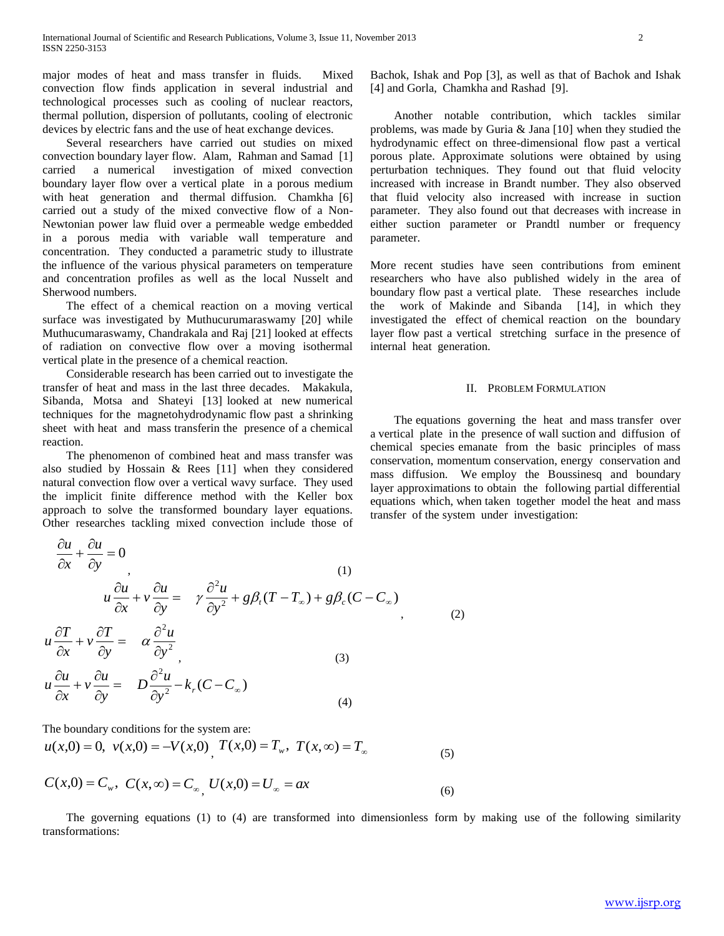major modes of heat and mass transfer in fluids. Mixed convection flow finds application in several industrial and technological processes such as cooling of nuclear reactors, thermal pollution, dispersion of pollutants, cooling of electronic devices by electric fans and the use of heat exchange devices.

 Several researchers have carried out studies on mixed convection boundary layer flow. Alam, Rahman and Samad [1] carried a numerical investigation of mixed convection boundary layer flow over a vertical plate in a porous medium with heat generation and thermal diffusion. Chamkha [6] carried out a study of the mixed convective flow of a Non-Newtonian power law fluid over a permeable wedge embedded in a porous media with variable wall temperature and concentration. They conducted a parametric study to illustrate the influence of the various physical parameters on temperature and concentration profiles as well as the local Nusselt and Sherwood numbers.

 The effect of a chemical reaction on a moving vertical surface was investigated by Muthucurumaraswamy [20] while Muthucumaraswamy, Chandrakala and Raj [21] looked at effects of radiation on convective flow over a moving isothermal vertical plate in the presence of a chemical reaction.

 Considerable research has been carried out to investigate the transfer of heat and mass in the last three decades. Makakula, Sibanda, Motsa and Shateyi [13] looked at new numerical techniques for the magnetohydrodynamic flow past a shrinking sheet with heat and mass transferin the presence of a chemical reaction.

 The phenomenon of combined heat and mass transfer was also studied by Hossain & Rees [11] when they considered natural convection flow over a vertical wavy surface. They used the implicit finite difference method with the Keller box approach to solve the transformed boundary layer equations. Other researches tackling mixed convection include those of

$$
\frac{\partial u}{\partial x} + \frac{\partial u}{\partial y} = 0
$$
\n
$$
u \frac{\partial u}{\partial x} + v \frac{\partial u}{\partial y} = \gamma \frac{\partial^2 u}{\partial y^2} + g\beta_t (T - T_\infty) + g\beta_c (C - C_\infty)
$$
\n
$$
u \frac{\partial T}{\partial x} + v \frac{\partial T}{\partial y} = \alpha \frac{\partial^2 u}{\partial y^2}
$$
\n(2)\n
$$
u \frac{\partial u}{\partial x} + v \frac{\partial u}{\partial y} = D \frac{\partial^2 u}{\partial x^2} - k_r (C - C_\infty)
$$

$$
u \frac{\partial}{\partial x} + v \frac{\partial}{\partial y} - v \frac{\partial}{\partial y^2} - \kappa_r (c - c_\infty)
$$

The boundary conditions for the system are:

$$
u(x,0) = 0, v(x,0) = -V(x,0), T(x,0) = T_w, T(x,\infty) = T_{\infty}
$$
\n(5)

$$
C(x,0) = C_w, \ C(x,\infty) = C_{\infty} \ U(x,0) = U_{\infty} = ax \tag{6}
$$

 The governing equations (1) to (4) are transformed into dimensionless form by making use of the following similarity transformations:

(4)

Bachok, Ishak and Pop [3], as well as that of Bachok and Ishak [4] and Gorla, Chamkha and Rashad [9].

 Another notable contribution, which tackles similar problems, was made by Guria & Jana [10] when they studied the hydrodynamic effect on three-dimensional flow past a vertical porous plate. Approximate solutions were obtained by using perturbation techniques. They found out that fluid velocity increased with increase in Brandt number. They also observed that fluid velocity also increased with increase in suction parameter. They also found out that decreases with increase in either suction parameter or Prandtl number or frequency parameter.

More recent studies have seen contributions from eminent researchers who have also published widely in the area of boundary flow past a vertical plate. These researches include the work of Makinde and Sibanda [14], in which they investigated the effect of chemical reaction on the boundary layer flow past a vertical stretching surface in the presence of internal heat generation.

## II. PROBLEM FORMULATION

 The equations governing the heat and mass transfer over a vertical plate in the presence of wall suction and diffusion of chemical species emanate from the basic principles of mass conservation, momentum conservation, energy conservation and mass diffusion. We employ the Boussinesq and boundary layer approximations to obtain the following partial differential equations which, when taken together model the heat and mass transfer of the system under investigation: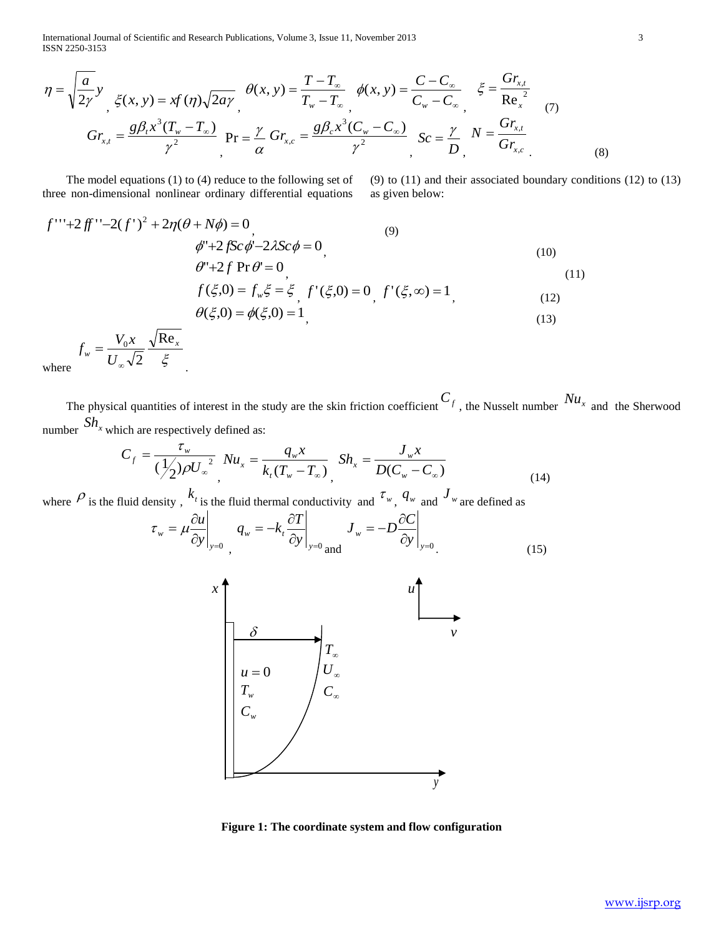International Journal of Scientific and Research Publications, Volume 3, Issue 11, November 2013 3 ISSN 2250-3153

$$
\eta = \sqrt{\frac{a}{2\gamma}} y \quad \xi(x, y) = xf(\eta) \sqrt{2a\gamma} \quad \theta(x, y) = \frac{T - T_{\infty}}{T_{w} - T_{\infty}} \quad \phi(x, y) = \frac{C - C_{\infty}}{C_{w} - C_{\infty}} \quad \xi = \frac{Gr_{x,t}}{Re_{x}^{2}}
$$
\n
$$
Gr_{x,t} = \frac{g\beta_{t}x^{3}(T_{w} - T_{\infty})}{\gamma^{2}} \quad \text{Pr} = \frac{\gamma}{\alpha} Gr_{x,c} = \frac{g\beta_{c}x^{3}(C_{w} - C_{\infty})}{\gamma^{2}} \quad \text{Sc} = \frac{\gamma}{D} \quad N = \frac{Gr_{x,t}}{Gr_{x,c}}
$$
\n(8)

 The model equations (1) to (4) reduce to the following set of three non-dimensional nonlinear ordinary differential equations

*x*

.

(9) to (11) and their associated boundary conditions (12) to (13) as given below:

$$
f'''+2ff''-2(f')^{2}+2\eta(\theta+N\phi)=0
$$
\n
$$
\phi''+2fSc\phi'-2\lambda Sc\phi=0
$$
\n(10)\n
$$
\theta''+2f\Pr\theta'=0
$$
\n(11)\n
$$
f(\xi,0)=f_{w}\xi=\xi f'(\xi,0)=0 f'(\xi,\infty)=1
$$
\n(12)\n
$$
\theta(\xi,0)=\phi(\xi,0)=1
$$
\n(13)

where ξ  $w = U$  $f_w = \frac{V_0 x}{\sqrt{2}}$ Re 2 0 ∞  $=$ 

The physical quantities of interest in the study are the skin friction coefficient  $C_f$ , the Nusselt number  $Nu_x$  and the Sherwood number  $Sh_x$  which are respectively defined as:

$$
C_f = \frac{\tau_w}{(\frac{1}{2})\rho U_w^2} Nu_x = \frac{q_w x}{k_t (T_w - T_w)} \cdot Sh_x = \frac{J_w x}{D(C_w - C_w)} \tag{14}
$$

where  $\rho$  is the fluid density,  $k_t$  is the fluid thermal conductivity and  $\tau_w$ ,  $q_w$  and  $J_w$  are defined as

$$
\tau_{w} = \mu \frac{\partial u}{\partial y}\Big|_{y=0} \int_{y=0}^{y=0} q_{w} = -k_{t} \frac{\partial T}{\partial y}\Big|_{y=0} J_{w} = -D \frac{\partial C}{\partial y}\Big|_{y=0}.
$$
 (15)



**Figure 1: The coordinate system and flow configuration**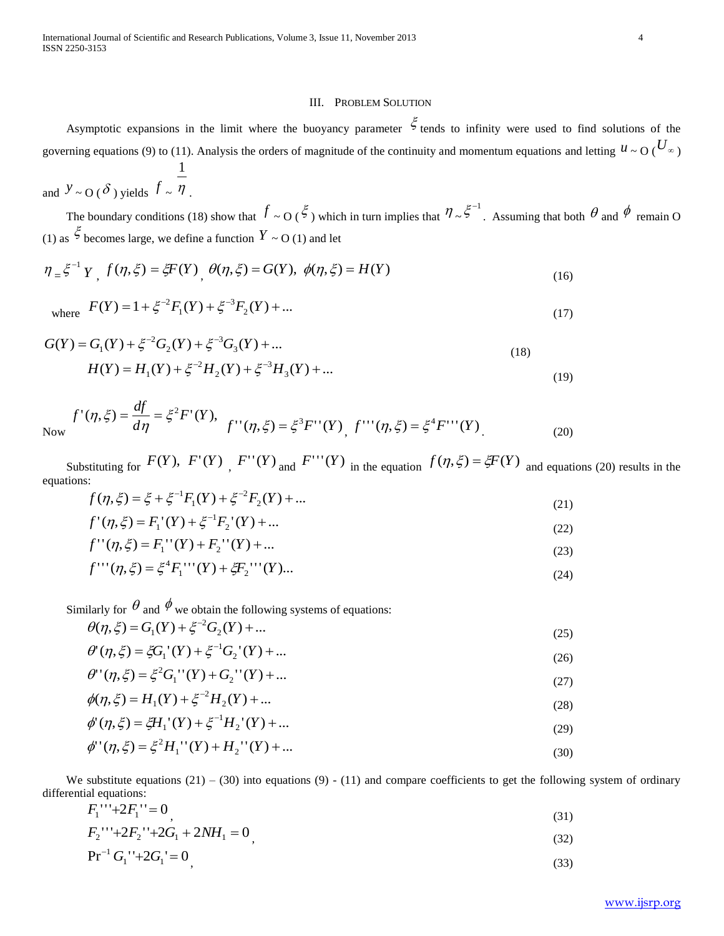## III. PROBLEM SOLUTION

Asymptotic expansions in the limit where the buoyancy parameter  $\zeta$  tends to infinity were used to find solutions of the governing equations (9) to (11). Analysis the orders of magnitude of the continuity and momentum equations and letting  $u \sim O(\frac{U_{\infty}}{V})$  $\frac{1}{1}$ 

and 
$$
y \sim O(\delta)
$$
 yields  $f \sim \eta$ .

The boundary conditions (18) show that  $f \sim O(\xi)$  which in turn implies that  $\eta \sim \xi^{-1}$ . Assuming that both  $\theta$  and  $\phi$  remain O (1) as  $\zeta$  becomes large, we define a function  $Y \sim O(1)$  and let

$$
\eta_{\alpha} \xi^{-1} Y_{\alpha} f(\eta, \xi) = \xi F(Y)_{\alpha} \theta(\eta, \xi) = G(Y), \ \phi(\eta, \xi) = H(Y) \tag{16}
$$

where 
$$
F(Y) = 1 + \xi^{-2} F_1(Y) + \xi^{-3} F_2(Y) + ...
$$
 (17)

$$
G(Y) = G_1(Y) + \xi^{-2}G_2(Y) + \xi^{-3}G_3(Y) + ...
$$
  
\n
$$
H(Y) = H_1(Y) + \xi^{-2}H_2(Y) + \xi^{-3}H_3(Y) + ...
$$
\n(18)

Now 
$$
f'(\eta, \xi) = \frac{df}{d\eta} = \xi^2 F'(Y),
$$
  $f''(\eta, \xi) = \xi^3 F''(Y),$   $f'''(\eta, \xi) = \xi^4 F'''(Y)$  (20)

Substituting for  $F(Y)$ ,  $F'(Y)$ ,  $F''(Y)$  and  $F'''(Y)$  in the equation  $f(\eta, \xi) = \xi F(Y)$  and equations (20) results in the equations:

$$
f(\eta, \xi) = \xi + \xi^{-1} F_1(Y) + \xi^{-2} F_2(Y) + \dots
$$
\n(21)

$$
f'(\eta, \xi) = F_1'(Y) + \xi^{-1} F_2'(Y) + \dots
$$
\n(22)

$$
f''(\eta, \xi) = F_1''(Y) + F_2''(Y) + \dots
$$
\n(23)

$$
f'''(\eta, \xi) = \xi^4 F_1'''(Y) + \xi F_2'''(Y) \dots
$$
\n(24)

Similarly for  $\theta$  and  $\phi$  we obtain the following systems of equations:

$$
\theta(\eta, \xi) = G_1(Y) + \xi^{-2} G_2(Y) + \dots
$$
\n(25)

$$
\theta'(\eta, \xi) = \xi G_1'(Y) + \xi^{-1} G_2'(Y) + \dots
$$
\n(26)

$$
\theta''(\eta, \xi) = \xi^2 G_1''(Y) + G_2''(Y) + \dots
$$
\n(27)

$$
\phi(\eta, \xi) = H_1(Y) + \xi^{-2} H_2(Y) + \dots
$$
\n(28)

$$
\phi'(\eta, \xi) = \xi H_1'(Y) + \xi^{-1} H_2'(Y) + \dots
$$
\n(29)

$$
\phi''(\eta, \xi) = \xi^2 H_1''(Y) + H_2''(Y) + \dots
$$
\n(30)

We substitute equations  $(21) - (30)$  into equations  $(9) - (11)$  and compare coefficients to get the following system of ordinary differential equations:

$$
F_1^{\ \cdots} + 2F_1^{\ \cdots} = 0 \tag{31}
$$

$$
F_2^{\ \cdots} + 2F_2^{\ \cdots} + 2G_1 + 2NH_1 = 0\tag{32}
$$

$$
Pr^{-1}G_1^{\prime\prime} + 2G_1^{\prime} = 0\tag{33}
$$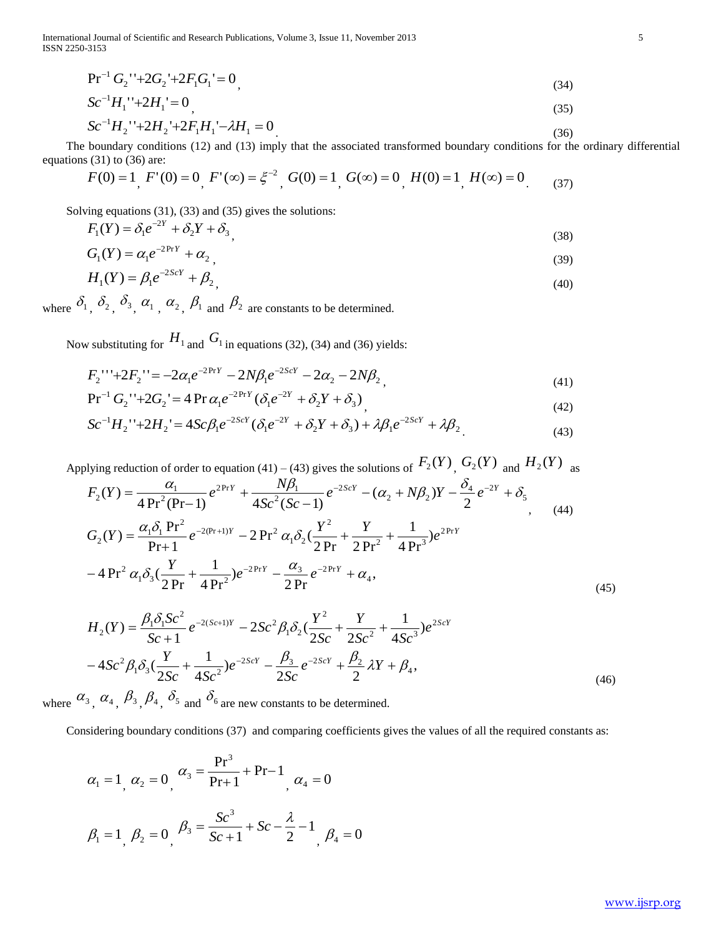International Journal of Scientific and Research Publications, Volume 3, Issue 11, November 2013 5 ISSN 2250-3153

$$
Pr^{-1} G_2 \text{''+2} G_2 \text{'} + 2F_1 G_1 = 0 \tag{34}
$$

$$
Sc^{-1}H_1^{\ \prime} + 2H_1^{\ \prime} = 0\tag{35}
$$

$$
Sc^{-1}H_2^{\prime\prime} + 2H_2^{\prime} + 2F_1H_1^{\prime} - \lambda H_1 = 0
$$
\n<sup>(36)</sup>

The boundary conditions (12) and (13) imply that the associated transformed boundary conditions for the ordinary differential equations (31) to (36) are:

$$
F(0) = 1, F'(0) = 0, F'(\infty) = \xi^{-2}, G(0) = 1, G(\infty) = 0, H(0) = 1, H(\infty) = 0
$$
\n(37)

Solving equations (31), (33) and (35) gives the solutions:

$$
F_1(Y) = \delta_1 e^{-2Y} + \delta_2 Y + \delta_3 \tag{38}
$$

$$
G_1(Y) = \alpha_1 e^{-2\Pr Y} + \alpha_2 \tag{39}
$$

$$
H_1(Y) = \beta_1 e^{-2ScY} + \beta_2 \tag{40}
$$

where  $\delta_1$ ,  $\delta_2$ ,  $\delta_3$ ,  $\alpha_1$ ,  $\alpha_2$ ,  $\beta_1$  and  $\beta_2$  are constants to be determined.

Now substituting for  $H_1$  and  $G_1$  in equations (32), (34) and (36) yields:

$$
F_2^{\ \cdots} + 2F_2^{\ \cdots} = -2\alpha_1 e^{-2\text{Pr}Y} - 2N\beta_1 e^{-2ScY} - 2\alpha_2 - 2N\beta_2 \tag{41}
$$

$$
Pr^{-1} G_2^{\prime -1} + 2G_2^{\prime} = 4 \Pr \alpha_1 e^{-2PrY} (\delta_1 e^{-2Y} + \delta_2 Y + \delta_3)
$$
\n(42)

$$
Sc^{-1}H_2^{\prime\prime} + 2H_2^{\prime} = 4Sc\beta_1 e^{-2ScY} (\delta_1 e^{-2Y} + \delta_2 Y + \delta_3) + \lambda \beta_1 e^{-2ScY} + \lambda \beta_2
$$
\n<sup>(43)</sup>

Pr<sup>-1</sup> G<sub>2</sub><sup>-1</sup>+2F<sub>1</sub>G<sub>1</sub><sup>-1</sup>=0, (34)  
\nSc<sup>-1</sup>H<sub>1</sub><sup>-1</sup>+2H<sub>1</sub><sup>-1</sup>=0, (35)  
\nSc<sup>-1</sup>H<sub>1</sub><sup>-1</sup>+2H<sub>1</sub><sup>-1</sup>=0, (36)  
\nThe boundary conditions (12) and (13) imply that the associated transformed boundary conditions for the ordinary differential  
\nequation (31) to (39) are:  
\n
$$
F(0) = 1
$$
,  $F'(0) = 0$ ,  $F'(x) = \xi^{-2}$ ,  $G(0) = 1$ ,  $G(x) = 0$ ,  $H(0) = 1$ ,  $H(x) = 0$ , (37)  
\nSolving equations (31), (33) and (35) gives the solutions:  
\n $F_1(V) = \delta_1 e^{-2Kt} + \delta_2$ , (38)  
\n $G_1(V) = \alpha_1 e^{-2Kt} + \delta_2$ , (39)  
\nwhere  $\delta_1$ ,  $\delta_2$ ,  $\delta_3$ ,  $\alpha_1$ ,  $\alpha_2$ ,  $\beta_1$  and  $\beta_3$  are constants to be determined.  
\nNow substituting for  $H_1$  and  $G_1$  in equations (32), (34) and (36) yields:  
\n $F_2$ <sup>11</sup>+2F<sub>2</sub><sup>11</sup>=2G<sub>2</sub> $C_2$ <sup>-2N*t*</sup> – 2*Nβ*<sub>1</sub> $e^{-2Nt = 2G2 – 2Nβ2, (44)\nPr-1G2-1+2F2-1=-2 $\alpha_1 e^{-2Nt$  (δ<sub>1</sub>*e*<sup>-2*t*</sup> + δ<sub>2</sub>*t* + δ<sub>1</sub>*t* + δ<sub>1</sub>*t* + δ<sub>1</sub>*t*  
\n $F_2$ <sup>-1</sup>+2F<sub>2</sub><sup>-1</sup>$ 

$$
H_2(Y) = \frac{\beta_1 \delta_1 S c^2}{Sc + 1} e^{-2(Sc+1)Y} - 2Sc^2 \beta_1 \delta_2 \left(\frac{Y^2}{2Sc} + \frac{Y}{2Sc^2} + \frac{1}{4Sc^3}\right) e^{2ScY} - 4Sc^2 \beta_1 \delta_3 \left(\frac{Y}{2Sc} + \frac{1}{4Sc^2}\right) e^{-2ScY} - \frac{\beta_3}{2Sc} e^{-2ScY} + \frac{\beta_2}{2} \lambda Y + \beta_4,
$$
\n(46)

where  $\alpha_3$ ,  $\alpha_4$ ,  $\beta_3$ ,  $\beta_4$ ,  $\delta_5$  and  $\delta_6$  are new constants to be determined.

Considering boundary conditions (37) and comparing coefficients gives the values of all the required constants as:

$$
\alpha_1 = 1, \ \alpha_2 = 0, \ \n\alpha_3 = \frac{\text{Pr}^3}{\text{Pr} + 1} + \text{Pr} - 1, \ \n\alpha_4 = 0
$$
\n
$$
\beta_1 = 1, \ \beta_2 = 0, \ \n\beta_3 = \frac{Sc^3}{Sc + 1} + Sc - \frac{\lambda}{2} - 1, \ \n\beta_4 = 0
$$

(45)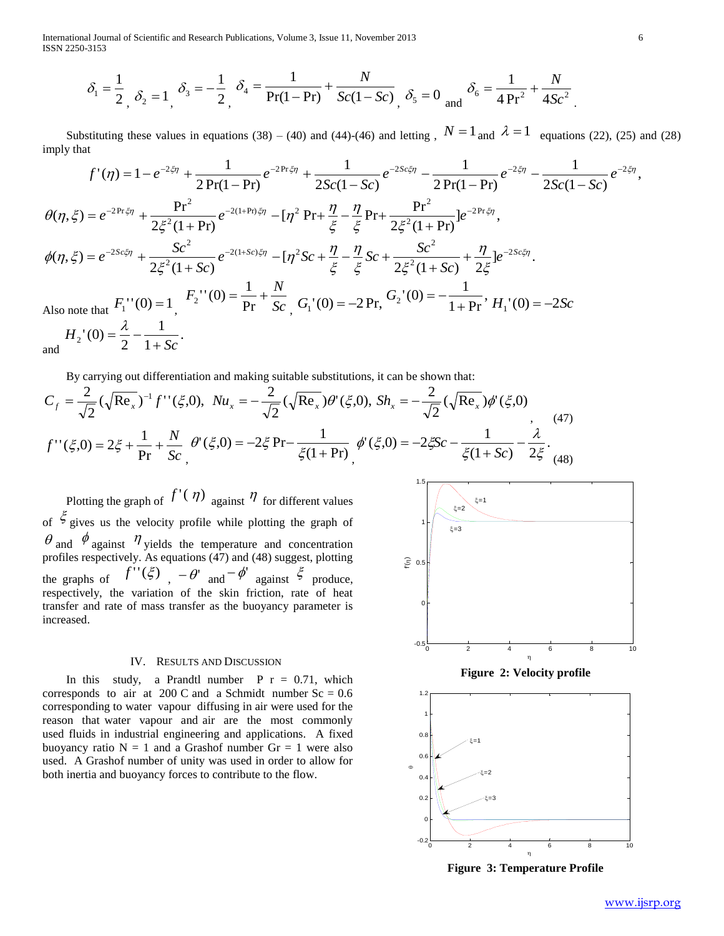International Journal of Scientific and Research Publications, Volume 3, Issue 11, November 2013 6 ISSN 2250-3153

$$
\delta_1 = \frac{1}{2} \, \, \delta_2 = 1 \, \, \delta_3 = -\frac{1}{2} \, \, \delta_4 = \frac{1}{Pr(1 - Pr)} + \frac{N}{Sc(1 - Sc)} \, \, \delta_5 = 0 \, \, \text{and} \, \, \delta_6 = \frac{1}{4 \, Pr^2} + \frac{N}{4 Sc^2}
$$

Substituting these values in equations (38) – (40) and (44)-(46) and letting,  $N = 1$  and  $\lambda = 1$  equations (22), (25) and (28) imply that *S c*

2, 
$$
\delta_2 = 1
$$
,  $\delta_3 = 2$ ,  $\delta_4 = 1$ ,  $\delta_5 = 2$ ,  $\delta_6 = 1$ ,  $\delta_7 = 2$ ,  $\delta_8 = 1$ ,  $\delta_9 = 2$ ,  $\delta_9 = 1$ ,  $\delta_9 = 1$ ,  $\delta_9 = 1$ ,  $\delta_9 = 1$ ,  $\delta_9 = 1$ ,  $\delta_9 = 1$ ,  $\delta_9 = 1$ ,  $\delta_9 = 1$ ,  $\delta_9 = 1$ ,  $\delta_9 = 1$ ,  $\delta_9 = 1$ ,  $\delta_9 = 1$ ,  $\delta_9 = 1$ ,  $\delta_9 = 1$ ,  $\delta_9 = 1$ ,  $\delta_9 = 1$ ,  $\delta_9 = 1$ ,  $\delta_9 = 1$ ,  $\delta_9 = 1$ ,  $\delta_9 = 1$ ,  $\delta_9 = 1$ ,  $\delta_9 = 1$ ,  $\delta_9 = 1$ ,  $\delta_9 = 1$ ,  $\delta_9 = 1$ ,  $\delta_9 = 1$ ,  $\delta_9 = 1$ ,  $\delta_9 = 1$ ,  $\delta_9 = 1$ ,  $\delta_9 = 1$ ,  $\delta_9 = 1$ ,  $\delta_9 = 1$ ,  $\delta_9 = 1$ ,  $\delta_9 = 1$ ,  $\delta_9 = 1$ ,  $\delta_9 = 1$ ,  $\delta_9 = 1$ ,  $\delta_9 = 1$ ,  $\delta_9 = 1$ ,  $\delta_9 = 1$ ,  $\delta_9 = 1$ ,  $\delta_9 = 1$ ,  $\delta_9 = 1$ ,  $\delta_9 = 1$ ,  $\delta_9 = 1$ ,  $\delta_9 = 1$ ,  $\delta_9 = 1$ ,  $\delta_9 = 1$ ,  $\delta_9 = 1$ ,  $\delta_9 = 1$ ,  $\delta_9 = 1$ ,  $\delta_9 = 1$ ,  $\delta_9 = 1$ ,  $\delta_9 = 1$ ,  $\delta_9 = 1$ ,  $\delta_9 =$ 

By carrying out differentiation and making suitable substitutions, it can be shown that:

$$
C_{f} = \frac{2}{\sqrt{2}} (\sqrt{\text{Re}_{x}})^{-1} f''(\xi, 0), N u_{x} = -\frac{2}{\sqrt{2}} (\sqrt{\text{Re}_{x}}) \theta'(\xi, 0), S h_{x} = -\frac{2}{\sqrt{2}} (\sqrt{\text{Re}_{x}}) \phi'(\xi, 0)
$$
  

$$
f''(\xi, 0) = 2\xi + \frac{1}{\text{Pr}} + \frac{N}{Sc} \theta'(\xi, 0) = -2\xi \text{Pr} - \frac{1}{\xi(1 + \text{Pr})} \phi'(\xi, 0) = -2\xi Sc - \frac{1}{\xi(1 + Sc)} - \frac{\lambda}{2\xi}.
$$
 (47)

Plotting the graph of  $f'(\eta)$  against  $\eta$  for different values of  $\zeta$  gives us the velocity profile while plotting the graph of  $\theta$  and  $\phi$  against  $\eta$  yields the temperature and concentration profiles respectively. As equations (47) and (48) suggest, plotting the graphs of  $f''(\xi)$ ,  $-\theta'$  and  $-\phi'$  against  $\xi$  produce, respectively, the variation of the skin friction, rate of heat transfer and rate of mass transfer as the buoyancy parameter is increased.

## IV. RESULTS AND DISCUSSION

In this study, a Prandtl number  $P r = 0.71$ , which corresponds to air at 200 C and a Schmidt number  $Sc = 0.6$ corresponding to water vapour diffusing in air were used for the reason that water vapour and air are the most commonly used fluids in industrial engineering and applications. A fixed buoyancy ratio  $N = 1$  and a Grashof number  $Gr = 1$  were also used. A Grashof number of unity was used in order to allow for both inertia and buoyancy forces to contribute to the flow.







**Figure 3: Temperature Profile**

.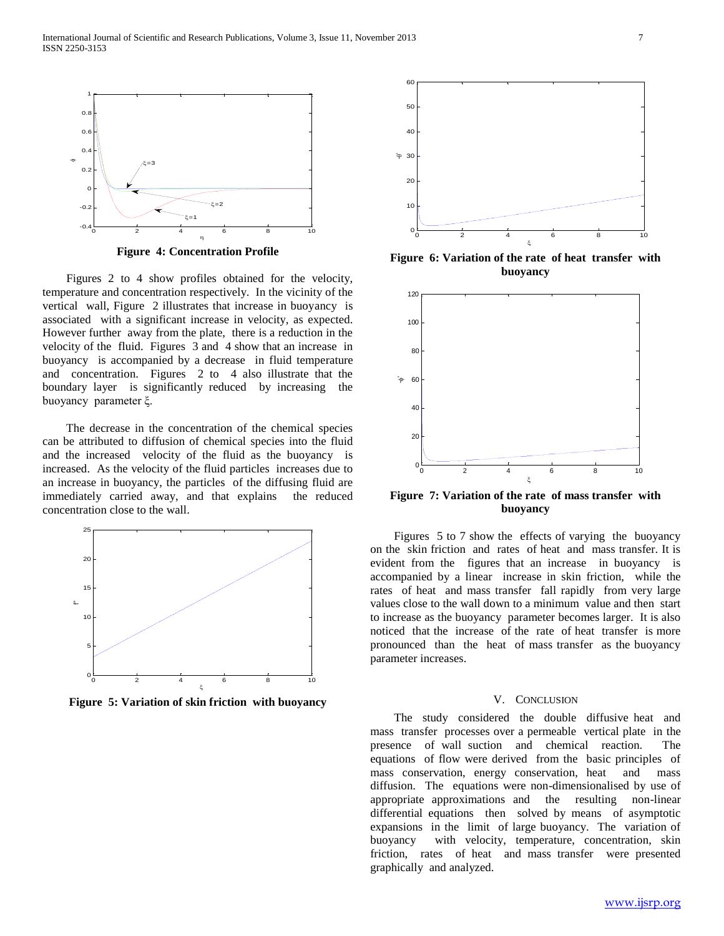

**Figure 4: Concentration Profile**

 Figures 2 to 4 show profiles obtained for the velocity, temperature and concentration respectively. In the vicinity of the vertical wall, Figure 2 illustrates that increase in buoyancy is associated with a significant increase in velocity, as expected. However further away from the plate, there is a reduction in the velocity of the fluid. Figures 3 and 4 show that an increase in buoyancy is accompanied by a decrease in fluid temperature and concentration. Figures 2 to 4 also illustrate that the boundary layer is significantly reduced by increasing the buoyancy parameter ξ.

 The decrease in the concentration of the chemical species can be attributed to diffusion of chemical species into the fluid and the increased velocity of the fluid as the buoyancy is increased. As the velocity of the fluid particles increases due to an increase in buoyancy, the particles of the diffusing fluid are immediately carried away, and that explains the reduced concentration close to the wall.



**Figure 5: Variation of skin friction with buoyancy**



**Figure 6: Variation of the rate of heat transfer with buoyancy**



**Figure 7: Variation of the rate of mass transfer with buoyancy**

 Figures 5 to 7 show the effects of varying the buoyancy on the skin friction and rates of heat and mass transfer. It is evident from the figures that an increase in buoyancy is accompanied by a linear increase in skin friction, while the rates of heat and mass transfer fall rapidly from very large values close to the wall down to a minimum value and then start to increase as the buoyancy parameter becomes larger. It is also noticed that the increase of the rate of heat transfer is more pronounced than the heat of mass transfer as the buoyancy parameter increases.

#### V. CONCLUSION

 The study considered the double diffusive heat and mass transfer processes over a permeable vertical plate in the presence of wall suction and chemical reaction. The equations of flow were derived from the basic principles of mass conservation, energy conservation, heat and mass diffusion. The equations were non-dimensionalised by use of appropriate approximations and the resulting non-linear differential equations then solved by means of asymptotic expansions in the limit of large buoyancy. The variation of buoyancy with velocity, temperature, concentration, skin friction, rates of heat and mass transfer were presented graphically and analyzed.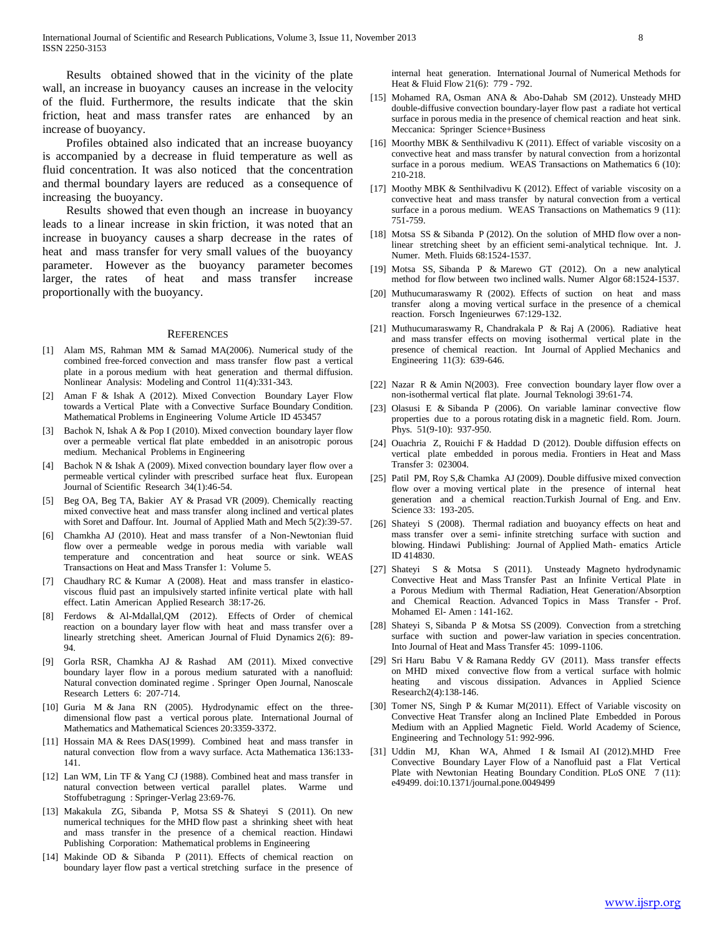Results obtained showed that in the vicinity of the plate wall, an increase in buoyancy causes an increase in the velocity of the fluid. Furthermore, the results indicate that the skin friction, heat and mass transfer rates are enhanced by an increase of buoyancy.

 Profiles obtained also indicated that an increase buoyancy is accompanied by a decrease in fluid temperature as well as fluid concentration. It was also noticed that the concentration and thermal boundary layers are reduced as a consequence of increasing the buoyancy.

 Results showed that even though an increase in buoyancy leads to a linear increase in skin friction, it was noted that an increase in buoyancy causes a sharp decrease in the rates of heat and mass transfer for very small values of the buoyancy parameter. However as the buoyancy parameter becomes larger, the rates of heat and mass transfer increase proportionally with the buoyancy.

#### **REFERENCES**

- [1] Alam MS, Rahman MM & Samad MA(2006). Numerical study of the combined free-forced convection and mass transfer flow past a vertical plate in a porous medium with heat generation and thermal diffusion. Nonlinear Analysis: Modeling and Control 11(4):331-343.
- [2] Aman F & Ishak A (2012). Mixed Convection Boundary Layer Flow towards a Vertical Plate with a Convective Surface Boundary Condition. Mathematical Problems in Engineering Volume Article ID 453457
- [3] Bachok N, Ishak A & Pop I (2010). Mixed convection boundary layer flow over a permeable vertical flat plate embedded in an anisotropic porous medium. Mechanical Problems in Engineering
- [4] Bachok N & Ishak A (2009). Mixed convection boundary layer flow over a permeable vertical cylinder with prescribed surface heat flux. European Journal of Scientific Research 34(1):46-54.
- [5] Beg OA, Beg TA, Bakier AY & Prasad VR (2009). Chemically reacting mixed convective heat and mass transfer along inclined and vertical plates with Soret and Daffour. Int. Journal of Applied Math and Mech 5(2):39-57.
- [6] Chamkha AJ (2010). Heat and mass transfer of a Non-Newtonian fluid flow over a permeable wedge in porous media with variable wall temperature and concentration and heat source or sink. WEAS Transactions on Heat and Mass Transfer 1: Volume 5.
- [7] Chaudhary RC & Kumar A (2008). Heat and mass transfer in elasticoviscous fluid past an impulsively started infinite vertical plate with hall effect. Latin American Applied Research 38:17-26.
- [8] Ferdows & Al-Mdallal,QM (2012). Effects of Order of chemical reaction on a boundary layer flow with heat and mass transfer over a linearly stretching sheet. American Journal of Fluid Dynamics 2(6): 89- 94.
- [9] Gorla RSR, Chamkha AJ & Rashad AM (2011). Mixed convective boundary layer flow in a porous medium saturated with a nanofluid: Natural convection dominated regime . Springer Open Journal, Nanoscale Research Letters 6: 207-714.
- [10] Guria M & Jana RN (2005). Hydrodynamic effect on the threedimensional flow past a vertical porous plate. International Journal of Mathematics and Mathematical Sciences 20:3359-3372.
- [11] Hossain MA & Rees DAS(1999). Combined heat and mass transfer in natural convection flow from a wavy surface. Acta Mathematica 136:133- 141.
- [12] Lan WM, Lin TF & Yang CJ (1988). Combined heat and mass transfer in natural convection between vertical parallel plates. Warme und Stoffubetragung : Springer-Verlag 23:69-76.
- [13] Makakula ZG, Sibanda P, Motsa SS & Shateyi S (2011). On new numerical techniques for the MHD flow past a shrinking sheet with heat and mass transfer in the presence of a chemical reaction. Hindawi Publishing Corporation: Mathematical problems in Engineering
- [14] Makinde OD & Sibanda P (2011). Effects of chemical reaction on boundary layer flow past a vertical stretching surface in the presence of

internal heat generation. International Journal of Numerical Methods for Heat & Fluid Flow 21(6): 779 - 792.

- [15] Mohamed RA, Osman ANA & Abo-Dahab SM (2012). Unsteady MHD double-diffusive convection boundary-layer flow past a radiate hot vertical surface in porous media in the presence of chemical reaction and heat sink. Meccanica: Springer Science+Business
- [16] Moorthy MBK & Senthilvadivu K (2011). Effect of variable viscosity on a convective heat and mass transfer by natural convection from a horizontal surface in a porous medium. WEAS Transactions on Mathematics 6 (10): 210-218.
- [17] Moothy MBK & Senthilvadivu K (2012). Effect of variable viscosity on a convective heat and mass transfer by natural convection from a vertical surface in a porous medium. WEAS Transactions on Mathematics 9 (11): 751-759.
- [18] Motsa SS & Sibanda P (2012). On the solution of MHD flow over a nonlinear stretching sheet by an efficient semi-analytical technique. Int. J. Numer. Meth. Fluids 68:1524-1537.
- [19] Motsa SS, Sibanda P & Marewo GT (2012). On a new analytical method for flow between two inclined walls. Numer Algor 68:1524-1537.
- [20] Muthucumaraswamy R (2002). Effects of suction on heat and mass transfer along a moving vertical surface in the presence of a chemical reaction. Forsch Ingenieurwes 67:129-132.
- [21] Muthucumaraswamy R, Chandrakala P & Raj A (2006). Radiative heat and mass transfer effects on moving isothermal vertical plate in the presence of chemical reaction. Int Journal of Applied Mechanics and Engineering 11(3): 639-646.
- [22] Nazar R & Amin N(2003). Free convection boundary layer flow over a non-isothermal vertical flat plate. Journal Teknologi 39:61-74.
- [23] Olasusi E & Sibanda P (2006). On variable laminar convective flow properties due to a porous rotating disk in a magnetic field. Rom. Journ. Phys. 51(9-10): 937-950.
- [24] Ouachria Z, Rouichi F & Haddad D (2012). Double diffusion effects on vertical plate embedded in porous media. Frontiers in Heat and Mass Transfer 3: 023004.
- [25] Patil PM, Roy S, & Chamka AJ (2009). Double diffusive mixed convection flow over a moving vertical plate in the presence of internal heat generation and a chemical reaction.Turkish Journal of Eng. and Env. Science 33: 193-205.
- [26] Shateyi S (2008). Thermal radiation and buoyancy effects on heat and mass transfer over a semi- infinite stretching surface with suction and blowing. Hindawi Publishing: Journal of Applied Math- ematics Article ID 414830.
- [27] Shateyi S & Motsa S (2011). Unsteady Magneto hydrodynamic Convective Heat and Mass Transfer Past an Infinite Vertical Plate in a Porous Medium with Thermal Radiation, Heat Generation/Absorption and Chemical Reaction. Advanced Topics in Mass Transfer - Prof. Mohamed El- Amen : 141-162.
- [28] Shateyi S, Sibanda P & Motsa SS (2009). Convection from a stretching surface with suction and power-law variation in species concentration. Into Journal of Heat and Mass Transfer 45: 1099-1106.
- [29] Sri Haru Babu V & Ramana Reddy GV (2011). Mass transfer effects on MHD mixed convective flow from a vertical surface with holmic heating and viscous dissipation. Advances in Applied Science Research2(4):138-146.
- [30] Tomer NS, Singh P & Kumar M(2011). Effect of Variable viscosity on Convective Heat Transfer along an Inclined Plate Embedded in Porous Medium with an Applied Magnetic Field. World Academy of Science, Engineering and Technology 51: 992-996.
- [31] Uddin MJ, Khan WA, Ahmed I & Ismail AI (2012).MHD Free Convective Boundary Layer Flow of a Nanofluid past a Flat Vertical Plate with Newtonian Heating Boundary Condition. PLoS ONE 7 (11): e49499. doi:10.1371/journal.pone.0049499